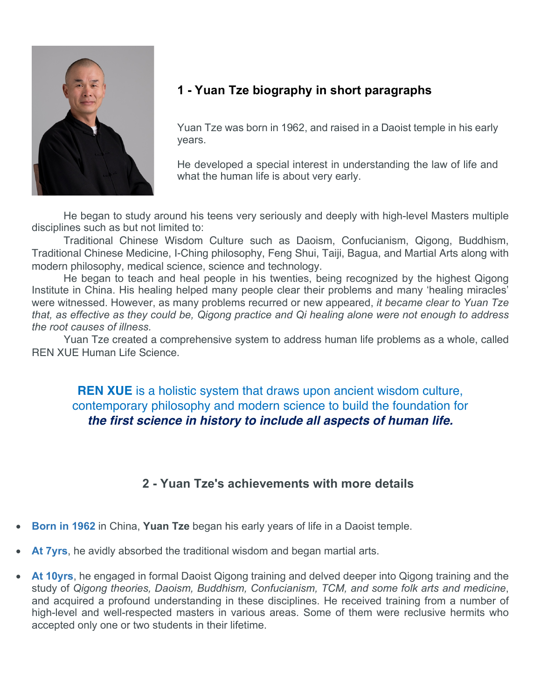

## **1 - Yuan Tze biography in short paragraphs**

Yuan Tze was born in 1962, and raised in a Daoist temple in his early years.

He developed a special interest in understanding the law of life and what the human life is about very early.

He began to study around his teens very seriously and deeply with high-level Masters multiple disciplines such as but not limited to:

Traditional Chinese Wisdom Culture such as Daoism, Confucianism, Qigong, Buddhism, Traditional Chinese Medicine, I-Ching philosophy, Feng Shui, Taiji, Bagua, and Martial Arts along with modern philosophy, medical science, science and technology.

He began to teach and heal people in his twenties, being recognized by the highest Qigong Institute in China. His healing helped many people clear their problems and many 'healing miracles' were witnessed. However, as many problems recurred or new appeared, *it became clear to Yuan Tze that, as effective as they could be, Qigong practice and Qi healing alone were not enough to address the root causes of illness.* 

Yuan Tze created a comprehensive system to address human life problems as a whole, called REN XUE Human Life Science.

**REN XUE** is a holistic system that draws upon ancient wisdom culture, contemporary philosophy and modern science to build the foundation for *the first science in history to include all aspects of human life.*

## **2 - Yuan Tze's achievements with more details**

- **Born in 1962** in China, **Yuan Tze** began his early years of life in a Daoist temple.
- **At 7yrs**, he avidly absorbed the traditional wisdom and began martial arts.
- **At 10yrs**, he engaged in formal Daoist Qigong training and delved deeper into Qigong training and the study of *Qigong theories, Daoism, Buddhism, Confucianism, TCM, and some folk arts and medicine*, and acquired a profound understanding in these disciplines. He received training from a number of high-level and well-respected masters in various areas. Some of them were reclusive hermits who accepted only one or two students in their lifetime.